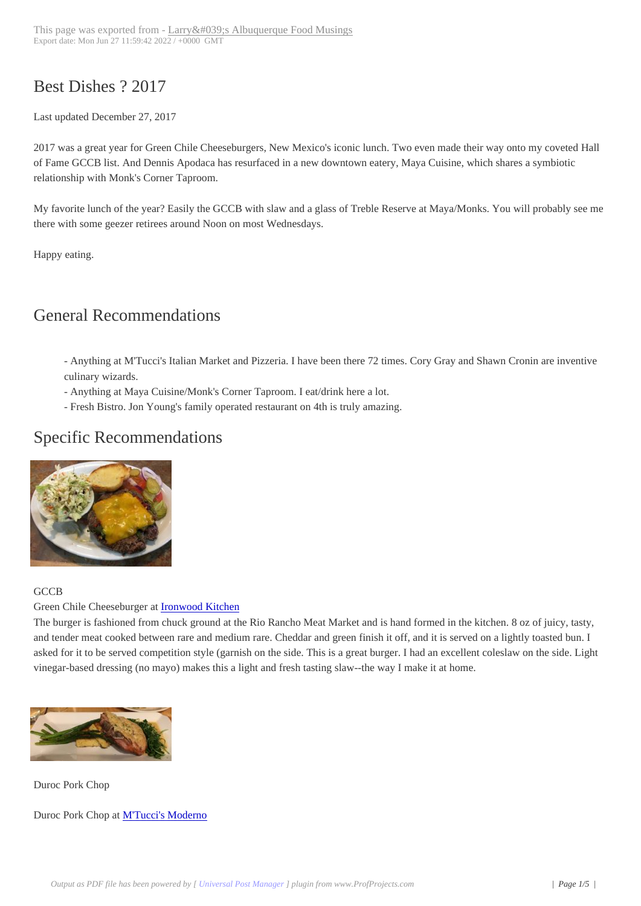## Best Dishes ? 2017

 Last updated December 27, 2017

2017 was a great year for Green Chile Cheeseburgers, New Mexico's iconic lunch. Two even made their way onto my coveted Hall of Fame GCCB list. And Dennis Apodaca has resurfaced in a new downtown eatery, Maya Cuisine, which shares a symbiotic relationship with Monk's Corner Taproom.

My favorite lunch of the year? Easily the GCCB with slaw and a glass of Treble Reserve at Maya/Monks. You will probably see me there with some geezer retirees around Noon on most Wednesdays.

Happy eating.

## General Recommendations

 - Anything at M'Tucci's Italian Market and Pizzeria. I have been there 72 times. Cory Gray and Shawn Cronin are inventive culinary wizards.

- Anything at Maya Cuisine/Monk's Corner Taproom. I eat/drink here a lot.
- Fresh Bistro. Jon Young's family operated restaurant on 4th is truly amazing.

## Specific Recommendations



## **GCCB**

[Green Chile Cheeseburger at Iro](http://www.abqtopten.com/blog/wp-content/uploads/2017/02/burger.jpg)nwood Kitchen

The burger is fashioned from chuck ground at the Rio Rancho Meat Market and is hand formed in the kitchen. 8 oz of juicy, tasty, and tender meat cooked between rare and medium rare. Cheddar and green finish it off, and it is served on a lightly toasted bun. I asked for it to be served competition style (garnish on the side. This is a great burger. I had an excellent coleslaw on the side. Light vinegar-based dressing (no [mayo\) makes this a l](https://www.yelp.com/biz/ironwood-kitchen-albuquerque-2?hrid=f5nCxHNzwLPdHiIykXQxyQ)ight and fresh tasting slaw--the way I make it at home.



[Duroc Pork Chop](http://www.abqtopten.com/blog/wp-content/uploads/2017/02/pork-chop.jpg)

Duroc Pork Chop at M'Tucci's Moderno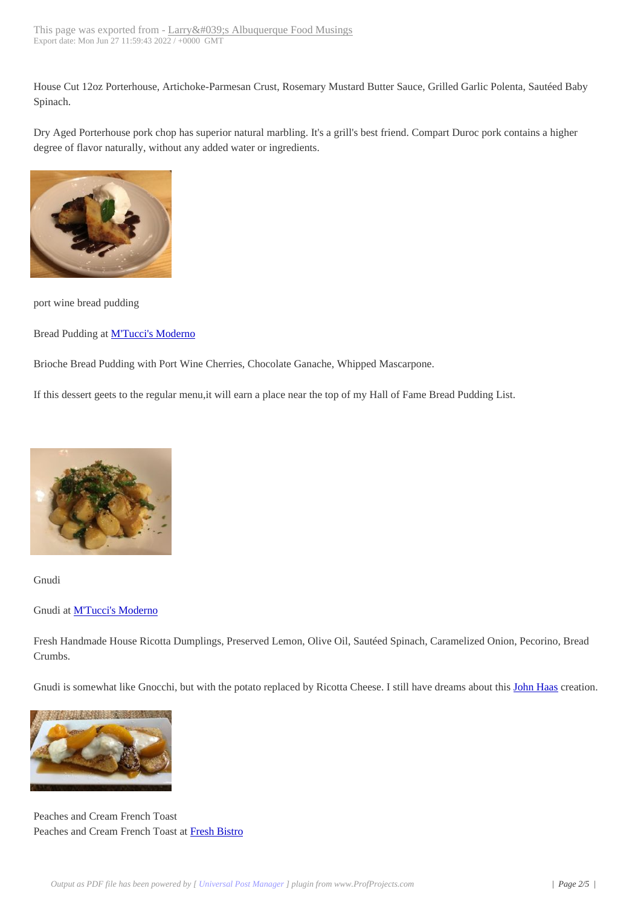House Cut 12oz Porterhouse, [Artichoke-Parmesan Crust, Rosemary Musta](http://www.abqtopten.com/blog/?page_id=6665)rd Butter Sauce, Grilled Garlic Polenta, Sautéed Baby Spinach.

Dry Aged Porterhouse pork chop has superior natural marbling. It's a grill's best friend. Compart Duroc pork contains a higher degree of flavor naturally, without any added water or ingredients.



[port wine bread pudding](http://www.abqtopten.com/blog/wp-content/uploads/2017/02/port-wine-bread-pudding-1.jpg)

Bread Pudding at M'Tucci's Moderno

Brioche Bread Pudding with Port Wine Cherries, Chocolate Ganache, Whipped Mascarpone.

If this dessert gee[ts to the regular men](https://www.yelp.com/biz/mtuccis-moderno-italian-restaurant-rio-rancho)u,it will earn a place near the top of my Hall of Fame Bread Pudding List.



[Gnudi](http://www.abqtopten.com/blog/wp-content/uploads/2017/02/gnudie-1.jpg)

Gnudi at **M'Tucci's Moderno** 

Fresh Handmade House Ricotta Dumplings, Preserved Lemon, Olive Oil, Sautéed Spinach, Caramelized Onion, Pecorino, Bread Crumbs.

Gnudi is somewhat like Gnocchi, but with the potato replaced by Ricotta Cheese. I still have dreams about this John Haas creation.



[Peaches and Cream French Toas](http://www.abqtopten.com/blog/wp-content/uploads/2017/01/peach-french-toast.jpg)t Peaches and Cream French Toast at Fresh Bistro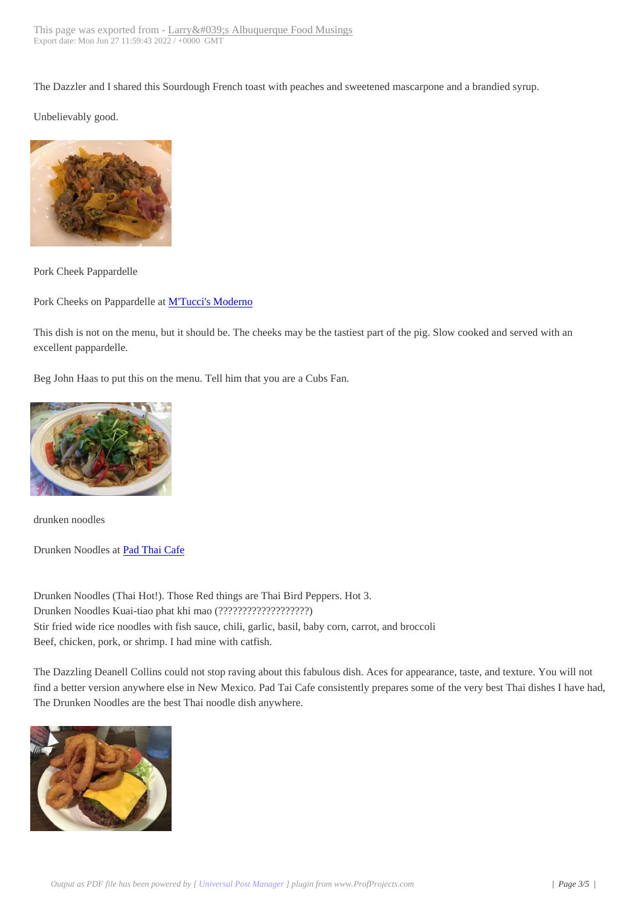The Dazzler and I shared this [Sourdough French toast with peaches and sw](http://www.abqtopten.com/blog/?page_id=6665)eetened mascarpone and a brandied syrup.

Unbelievably good.



[Pork Cheek Pappardelle](http://www.abqtopten.com/blog/wp-content/uploads/2017/03/pork-cheek-pappardelle.jpg)

Pork Cheeks on Pappardelle at **M'Tucci's Moderno** 

This dish is not on the menu, but it should be. The cheeks may be the tastiest part of the pig. Slow cooked and served with an excellent pappardelle.

Beg John Haas to put this on the menu. Tell him that you are a Cubs Fan.



[drunken noodles](http://www.abqtopten.com/blog/wp-content/uploads/2017/02/drunken-noodles.jpg)

Drunken Noodles at Pad Thai Cafe

Drunken Noodles (Thai Hot!). Those Red things are Thai Bird Peppers. Hot 3. Drunken Noodles K[uai-tiao phat kh](http://www.abqtopten.com/blog/pad-thai-cafe/)i mao (???????????????????) Stir fried wide rice noodles with fish sauce, chili, garlic, basil, baby corn, carrot, and broccoli Beef, chicken, pork, or shrimp. I had mine with catfish.

The Dazzling Deanell Collins could not stop raving about this fabulous dish. Aces for appearance, taste, and texture. You will not find a better version anywhere else in New Mexico. Pad Tai Cafe consistently prepares some of the very best Thai dishes I have had, The Drunken Noodles are the best Thai noodle dish anywhere.

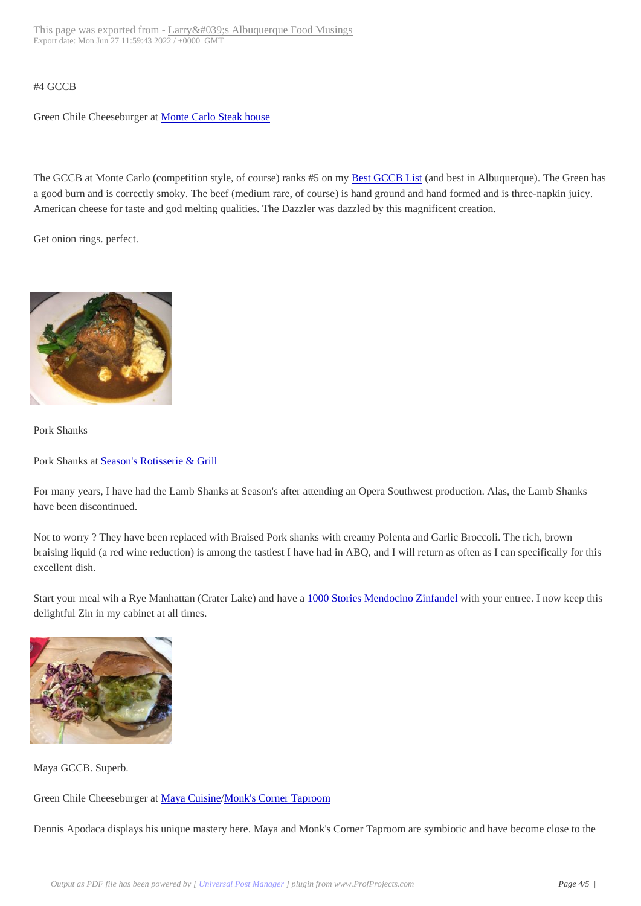Green Chile Cheeseburger at Monte Carlo Steak house

The GCCB at Monte Carlo ([competition style, of cours](http://www.abqtopten.com/blog/monte-carlo-steak-house/)e) ranks #5 on my Best GCCB List (and best in Albuquerque). The Green has a good burn and is correctly smoky. The beef (medium rare, of course) is hand ground and hand formed and is three-napkin juicy. American cheese for taste and god melting qualities. The Dazzler was dazzled by this magnificent creation.

Get onion rings. perfect.



[Pork Shanks](http://www.abqtopten.com/blog/wp-content/uploads/2017/02/pork-shank.jpg)

Pork Shanks at Season's Rotisserie & Grill

For many years, I have had the Lamb Shanks at Season's after attending an Opera Southwest production. Alas, the Lamb Shanks have been disc[ontinued.](http://www.abqtopten.com/blog/seasons-rotisserie-grill/)

Not to worry ? They have been replaced with Braised Pork shanks with creamy Polenta and Garlic Broccoli. The rich, brown braising liquid (a red wine reduction) is among the tastiest I have had in ABQ, and I will return as often as I can specifically for this excellent dish.

Start your meal wih a Rye Manhattan (Crater Lake) and have a 1000 Stories Mendocino Zinfandel with your entree. I now keep this delightful Zin in my cabinet at all times.



[Maya GCCB. Superb.](http://www.abqtopten.com/blog/wp-content/uploads/2017/02/gccb.jpg)

Green Chile Cheeseburger at Maya Cuisine/Monk's Corner Taproom

Dennis Apodaca displays his unique mastery here. Maya and Monk's Corner Taproom are symbiotic and have become close to the